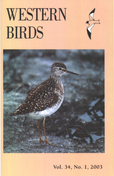## WESTERN **BIRDS**



**Vol. 34, No. 1, 2003**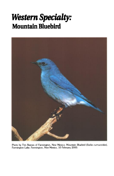## **Western Specialty: Mountain Bluebird**



Photo by Tim Reeves of Farmington, New Mexico: Mountain Bluebird (Sialia currucoides), Farmington Lake, Farmington, New Mexico, 10 February 2000.